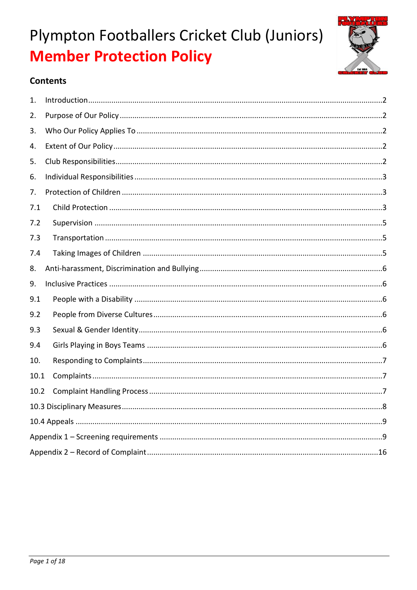

### **Contents**

| 1.   |  |  |  |  |  |
|------|--|--|--|--|--|
| 2.   |  |  |  |  |  |
| 3.   |  |  |  |  |  |
| 4.   |  |  |  |  |  |
| 5.   |  |  |  |  |  |
| 6.   |  |  |  |  |  |
| 7.   |  |  |  |  |  |
| 7.1  |  |  |  |  |  |
| 7.2  |  |  |  |  |  |
| 7.3  |  |  |  |  |  |
| 7.4  |  |  |  |  |  |
| 8.   |  |  |  |  |  |
| 9.   |  |  |  |  |  |
| 9.1  |  |  |  |  |  |
| 9.2  |  |  |  |  |  |
| 9.3  |  |  |  |  |  |
| 9.4  |  |  |  |  |  |
| 10.  |  |  |  |  |  |
| 10.1 |  |  |  |  |  |
| 10.2 |  |  |  |  |  |
|      |  |  |  |  |  |
|      |  |  |  |  |  |
|      |  |  |  |  |  |
|      |  |  |  |  |  |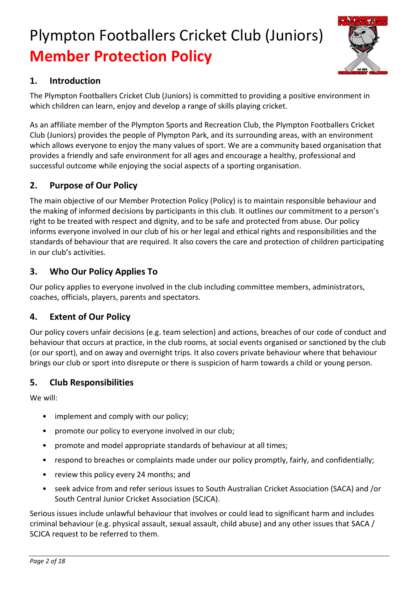

### **1. Introduction**

The Plympton Footballers Cricket Club (Juniors) is committed to providing a positive environment in which children can learn, enjoy and develop a range of skills playing cricket.

As an affiliate member of the Plympton Sports and Recreation Club, the Plympton Footballers Cricket Club (Juniors) provides the people of Plympton Park, and its surrounding areas, with an environment which allows everyone to enjoy the many values of sport. We are a community based organisation that provides a friendly and safe environment for all ages and encourage a healthy, professional and successful outcome while enjoying the social aspects of a sporting organisation.

### **2. Purpose of Our Policy**

The main objective of our Member Protection Policy (Policy) is to maintain responsible behaviour and the making of informed decisions by participants in this club. It outlines our commitment to a person's right to be treated with respect and dignity, and to be safe and protected from abuse. Our policy informs everyone involved in our club of his or her legal and ethical rights and responsibilities and the standards of behaviour that are required. It also covers the care and protection of children participating in our club's activities.

### **3. Who Our Policy Applies To**

Our policy applies to everyone involved in the club including committee members, administrators, coaches, officials, players, parents and spectators.

### **4. Extent of Our Policy**

Our policy covers unfair decisions (e.g. team selection) and actions, breaches of our code of conduct and behaviour that occurs at practice, in the club rooms, at social events organised or sanctioned by the club (or our sport), and on away and overnight trips. It also covers private behaviour where that behaviour brings our club or sport into disrepute or there is suspicion of harm towards a child or young person.

### **5. Club Responsibilities**

We will:

- implement and comply with our policy;
- promote our policy to everyone involved in our club;
- promote and model appropriate standards of behaviour at all times;
- respond to breaches or complaints made under our policy promptly, fairly, and confidentially;
- review this policy every 24 months; and
- seek advice from and refer serious issues to South Australian Cricket Association (SACA) and /or South Central Junior Cricket Association (SCJCA).

Serious issues include unlawful behaviour that involves or could lead to significant harm and includes criminal behaviour (e.g. physical assault, sexual assault, child abuse) and any other issues that SACA / SCJCA request to be referred to them.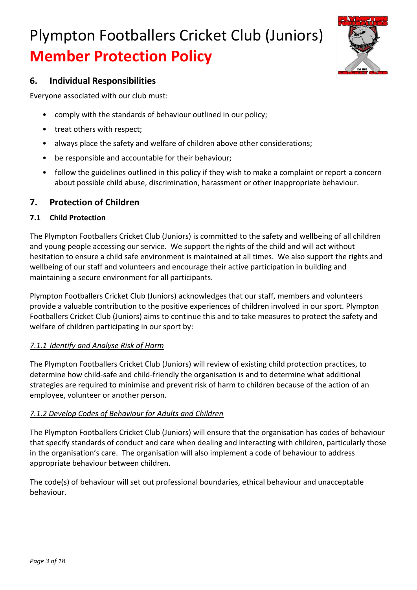

### **6. Individual Responsibilities**

Everyone associated with our club must:

- comply with the standards of behaviour outlined in our policy;
- treat others with respect;
- always place the safety and welfare of children above other considerations;
- be responsible and accountable for their behaviour;
- follow the guidelines outlined in this policy if they wish to make a complaint or report a concern about possible child abuse, discrimination, harassment or other inappropriate behaviour.

### **7. Protection of Children**

### **7.1 Child Protection**

The Plympton Footballers Cricket Club (Juniors) is committed to the safety and wellbeing of all children and young people accessing our service. We support the rights of the child and will act without hesitation to ensure a child safe environment is maintained at all times. We also support the rights and wellbeing of our staff and volunteers and encourage their active participation in building and maintaining a secure environment for all participants.

Plympton Footballers Cricket Club (Juniors) acknowledges that our staff, members and volunteers provide a valuable contribution to the positive experiences of children involved in our sport. Plympton Footballers Cricket Club (Juniors) aims to continue this and to take measures to protect the safety and welfare of children participating in our sport by:

### *7.1.1 Identify and Analyse Risk of Harm*

The Plympton Footballers Cricket Club (Juniors) will review of existing child protection practices, to determine how child-safe and child-friendly the organisation is and to determine what additional strategies are required to minimise and prevent risk of harm to children because of the action of an employee, volunteer or another person.

### *7.1.2 Develop Codes of Behaviour for Adults and Children*

The Plympton Footballers Cricket Club (Juniors) will ensure that the organisation has codes of behaviour that specify standards of conduct and care when dealing and interacting with children, particularly those in the organisation's care. The organisation will also implement a code of behaviour to address appropriate behaviour between children.

The code(s) of behaviour will set out professional boundaries, ethical behaviour and unacceptable behaviour.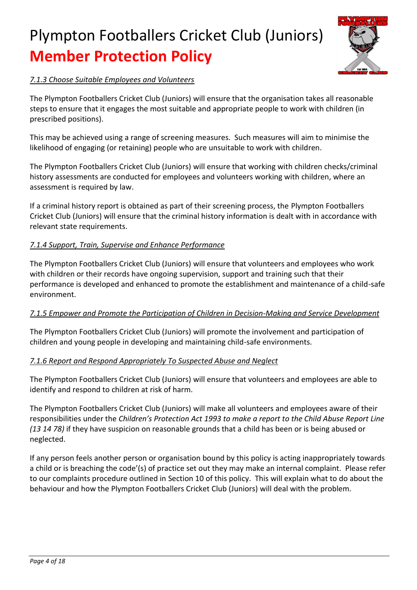

### *7.1.3 Choose Suitable Employees and Volunteers*

The Plympton Footballers Cricket Club (Juniors) will ensure that the organisation takes all reasonable steps to ensure that it engages the most suitable and appropriate people to work with children (in prescribed positions).

This may be achieved using a range of screening measures. Such measures will aim to minimise the likelihood of engaging (or retaining) people who are unsuitable to work with children.

The Plympton Footballers Cricket Club (Juniors) will ensure that working with children checks/criminal history assessments are conducted for employees and volunteers working with children, where an assessment is required by law.

If a criminal history report is obtained as part of their screening process, the Plympton Footballers Cricket Club (Juniors) will ensure that the criminal history information is dealt with in accordance with relevant state requirements.

### *7.1.4 Support, Train, Supervise and Enhance Performance*

The Plympton Footballers Cricket Club (Juniors) will ensure that volunteers and employees who work with children or their records have ongoing supervision, support and training such that their performance is developed and enhanced to promote the establishment and maintenance of a child-safe environment.

### *7.1.5 Empower and Promote the Participation of Children in Decision-Making and Service Development*

The Plympton Footballers Cricket Club (Juniors) will promote the involvement and participation of children and young people in developing and maintaining child-safe environments.

### *7.1.6 Report and Respond Appropriately To Suspected Abuse and Neglect*

The Plympton Footballers Cricket Club (Juniors) will ensure that volunteers and employees are able to identify and respond to children at risk of harm.

The Plympton Footballers Cricket Club (Juniors) will make all volunteers and employees aware of their responsibilities under the *Children's Protection Act 1993 to make a report to the Child Abuse Report Line (13 14 78)* if they have suspicion on reasonable grounds that a child has been or is being abused or neglected.

If any person feels another person or organisation bound by this policy is acting inappropriately towards a child or is breaching the code'(s) of practice set out they may make an internal complaint. Please refer to our complaints procedure outlined in Section 10 of this policy. This will explain what to do about the behaviour and how the Plympton Footballers Cricket Club (Juniors) will deal with the problem.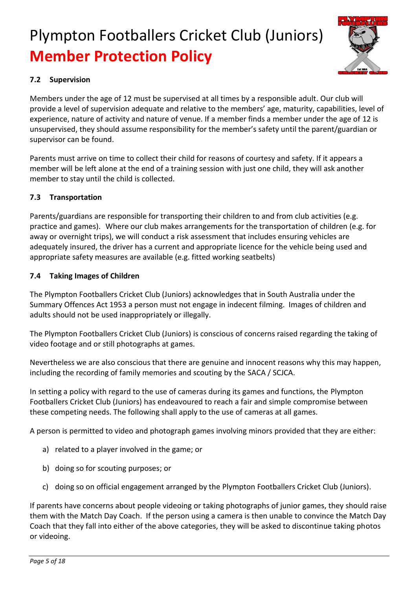

### **7.2 Supervision**

Members under the age of 12 must be supervised at all times by a responsible adult. Our club will provide a level of supervision adequate and relative to the members' age, maturity, capabilities, level of experience, nature of activity and nature of venue. If a member finds a member under the age of 12 is unsupervised, they should assume responsibility for the member's safety until the parent/guardian or supervisor can be found.

Parents must arrive on time to collect their child for reasons of courtesy and safety. If it appears a member will be left alone at the end of a training session with just one child, they will ask another member to stay until the child is collected.

### **7.3 Transportation**

Parents/guardians are responsible for transporting their children to and from club activities (e.g. practice and games). Where our club makes arrangements for the transportation of children (e.g. for away or overnight trips), we will conduct a risk assessment that includes ensuring vehicles are adequately insured, the driver has a current and appropriate licence for the vehicle being used and appropriate safety measures are available (e.g. fitted working seatbelts)

### **7.4 Taking Images of Children**

The Plympton Footballers Cricket Club (Juniors) acknowledges that in South Australia under the Summary Offences Act 1953 a person must not engage in indecent filming. Images of children and adults should not be used inappropriately or illegally.

The Plympton Footballers Cricket Club (Juniors) is conscious of concerns raised regarding the taking of video footage and or still photographs at games.

Nevertheless we are also conscious that there are genuine and innocent reasons why this may happen, including the recording of family memories and scouting by the SACA / SCJCA.

In setting a policy with regard to the use of cameras during its games and functions, the Plympton Footballers Cricket Club (Juniors) has endeavoured to reach a fair and simple compromise between these competing needs. The following shall apply to the use of cameras at all games.

A person is permitted to video and photograph games involving minors provided that they are either:

- a) related to a player involved in the game; or
- b) doing so for scouting purposes; or
- c) doing so on official engagement arranged by the Plympton Footballers Cricket Club (Juniors).

If parents have concerns about people videoing or taking photographs of junior games, they should raise them with the Match Day Coach. If the person using a camera is then unable to convince the Match Day Coach that they fall into either of the above categories, they will be asked to discontinue taking photos or videoing.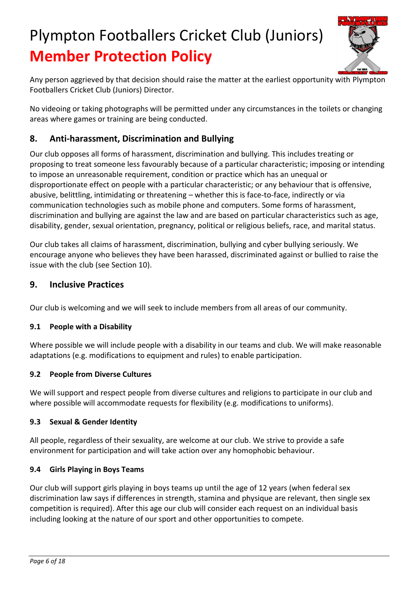

Any person aggrieved by that decision should raise the matter at the earliest opportunity with Plympton Footballers Cricket Club (Juniors) Director.

No videoing or taking photographs will be permitted under any circumstances in the toilets or changing areas where games or training are being conducted.

### **8. Anti-harassment, Discrimination and Bullying**

Our club opposes all forms of harassment, discrimination and bullying. This includes treating or proposing to treat someone less favourably because of a particular characteristic; imposing or intending to impose an unreasonable requirement, condition or practice which has an unequal or disproportionate effect on people with a particular characteristic; or any behaviour that is offensive, abusive, belittling, intimidating or threatening – whether this is face-to-face, indirectly or via communication technologies such as mobile phone and computers. Some forms of harassment, discrimination and bullying are against the law and are based on particular characteristics such as age, disability, gender, sexual orientation, pregnancy, political or religious beliefs, race, and marital status.

Our club takes all claims of harassment, discrimination, bullying and cyber bullying seriously. We encourage anyone who believes they have been harassed, discriminated against or bullied to raise the issue with the club (see Section 10).

### **9. Inclusive Practices**

Our club is welcoming and we will seek to include members from all areas of our community.

### **9.1 People with a Disability**

Where possible we will include people with a disability in our teams and club. We will make reasonable adaptations (e.g. modifications to equipment and rules) to enable participation.

### **9.2 People from Diverse Cultures**

We will support and respect people from diverse cultures and religions to participate in our club and where possible will accommodate requests for flexibility (e.g. modifications to uniforms).

### **9.3 Sexual & Gender Identity**

All people, regardless of their sexuality, are welcome at our club. We strive to provide a safe environment for participation and will take action over any homophobic behaviour.

### **9.4 Girls Playing in Boys Teams**

Our club will support girls playing in boys teams up until the age of 12 years (when federal sex discrimination law says if differences in strength, stamina and physique are relevant, then single sex competition is required). After this age our club will consider each request on an individual basis including looking at the nature of our sport and other opportunities to compete.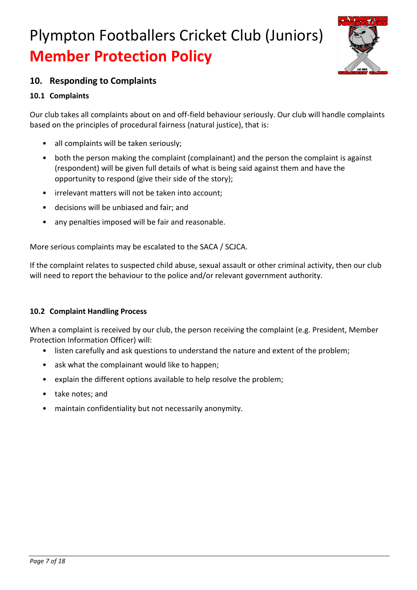

### **10. Responding to Complaints**

### **10.1 Complaints**

Our club takes all complaints about on and off-field behaviour seriously. Our club will handle complaints based on the principles of procedural fairness (natural justice), that is:

- all complaints will be taken seriously;
- both the person making the complaint (complainant) and the person the complaint is against (respondent) will be given full details of what is being said against them and have the opportunity to respond (give their side of the story);
- irrelevant matters will not be taken into account;
- decisions will be unbiased and fair; and
- any penalties imposed will be fair and reasonable.

More serious complaints may be escalated to the SACA / SCJCA.

If the complaint relates to suspected child abuse, sexual assault or other criminal activity, then our club will need to report the behaviour to the police and/or relevant government authority.

### **10.2 Complaint Handling Process**

When a complaint is received by our club, the person receiving the complaint (e.g. President, Member Protection Information Officer) will:

- listen carefully and ask questions to understand the nature and extent of the problem;
- ask what the complainant would like to happen;
- explain the different options available to help resolve the problem;
- take notes; and
- maintain confidentiality but not necessarily anonymity.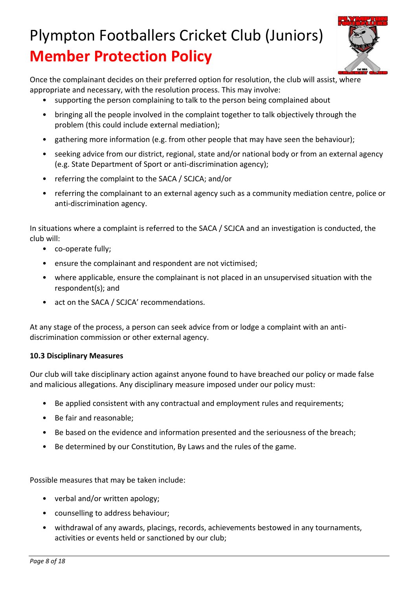

Once the complainant decides on their preferred option for resolution, the club will assist, where appropriate and necessary, with the resolution process. This may involve:

- supporting the person complaining to talk to the person being complained about
- bringing all the people involved in the complaint together to talk objectively through the problem (this could include external mediation);
- gathering more information (e.g. from other people that may have seen the behaviour);
- seeking advice from our district, regional, state and/or national body or from an external agency (e.g. State Department of Sport or anti-discrimination agency);
- referring the complaint to the SACA / SCJCA; and/or
- referring the complainant to an external agency such as a community mediation centre, police or anti-discrimination agency.

In situations where a complaint is referred to the SACA / SCJCA and an investigation is conducted, the club will:

- co-operate fully;
- ensure the complainant and respondent are not victimised;
- where applicable, ensure the complainant is not placed in an unsupervised situation with the respondent(s); and
- act on the SACA / SCJCA' recommendations.

At any stage of the process, a person can seek advice from or lodge a complaint with an antidiscrimination commission or other external agency.

### **10.3 Disciplinary Measures**

Our club will take disciplinary action against anyone found to have breached our policy or made false and malicious allegations. Any disciplinary measure imposed under our policy must:

- Be applied consistent with any contractual and employment rules and requirements;
- Be fair and reasonable;
- Be based on the evidence and information presented and the seriousness of the breach;
- Be determined by our Constitution, By Laws and the rules of the game.

Possible measures that may be taken include:

- verbal and/or written apology;
- counselling to address behaviour;
- withdrawal of any awards, placings, records, achievements bestowed in any tournaments, activities or events held or sanctioned by our club;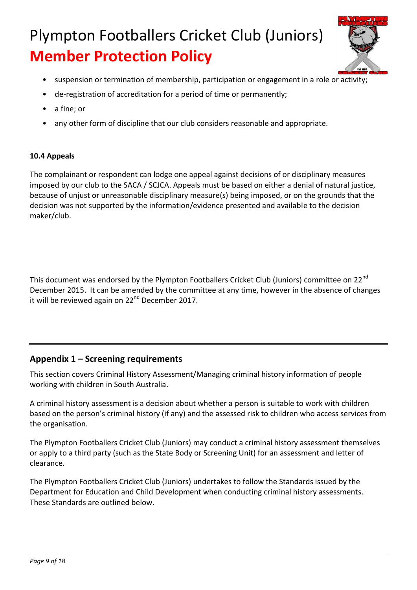

- suspension or termination of membership, participation or engagement in a role or activity;
- de-registration of accreditation for a period of time or permanently;
- a fine; or
- any other form of discipline that our club considers reasonable and appropriate.

### **10.4 Appeals**

The complainant or respondent can lodge one appeal against decisions of or disciplinary measures imposed by our club to the SACA / SCJCA. Appeals must be based on either a denial of natural justice, because of unjust or unreasonable disciplinary measure(s) being imposed, or on the grounds that the decision was not supported by the information/evidence presented and available to the decision maker/club.

This document was endorsed by the Plympton Footballers Cricket Club (Juniors) committee on 22<sup>nd</sup> December 2015. It can be amended by the committee at any time, however in the absence of changes it will be reviewed again on  $22<sup>nd</sup>$  December 2017.

### **Appendix 1 – Screening requirements**

This section covers Criminal History Assessment/Managing criminal history information of people working with children in South Australia.

A criminal history assessment is a decision about whether a person is suitable to work with children based on the person's criminal history (if any) and the assessed risk to children who access services from the organisation.

The Plympton Footballers Cricket Club (Juniors) may conduct a criminal history assessment themselves or apply to a third party (such as the State Body or Screening Unit) for an assessment and letter of clearance.

The Plympton Footballers Cricket Club (Juniors) undertakes to follow the Standards issued by the Department for Education and Child Development when conducting criminal history assessments. These Standards are outlined below.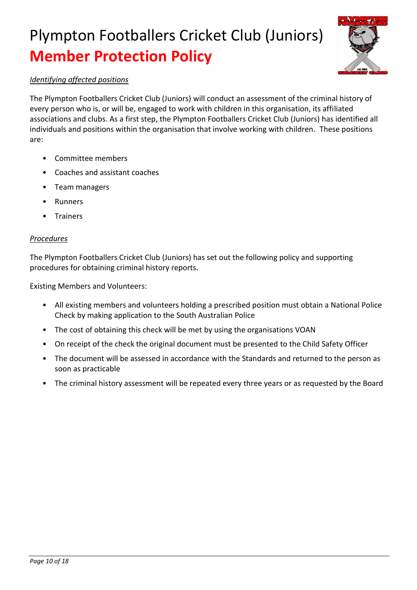

#### *Identifying affected positions*

The Plympton Footballers Cricket Club (Juniors) will conduct an assessment of the criminal history of every person who is, or will be, engaged to work with children in this organisation, its affiliated associations and clubs. As a first step, the Plympton Footballers Cricket Club (Juniors) has identified all individuals and positions within the organisation that involve working with children. These positions are:

- Committee members
- Coaches and assistant coaches
- Team managers
- **Runners**
- **Trainers**

#### *Procedures*

The Plympton Footballers Cricket Club (Juniors) has set out the following policy and supporting procedures for obtaining criminal history reports.

Existing Members and Volunteers:

- All existing members and volunteers holding a prescribed position must obtain a National Police Check by making application to the South Australian Police
- The cost of obtaining this check will be met by using the organisations VOAN
- On receipt of the check the original document must be presented to the Child Safety Officer
- The document will be assessed in accordance with the Standards and returned to the person as soon as practicable
- The criminal history assessment will be repeated every three years or as requested by the Board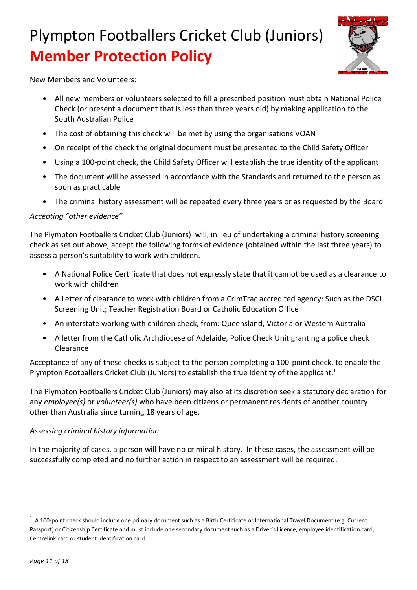

New Members and Volunteers:

- All new members or volunteers selected to fill a prescribed position must obtain National Police Check (or present a document that is less than three years old) by making application to the South Australian Police
- The cost of obtaining this check will be met by using the organisations VOAN
- On receipt of the check the original document must be presented to the Child Safety Officer
- Using a 100-point check, the Child Safety Officer will establish the true identity of the applicant
- The document will be assessed in accordance with the Standards and returned to the person as soon as practicable
- The criminal history assessment will be repeated every three years or as requested by the Board

#### *Accepting "other evidence"*

The Plympton Footballers Cricket Club (Juniors) will, in lieu of undertaking a criminal history screening check as set out above, accept the following forms of evidence (obtained within the last three years) to assess a person's suitability to work with children.

- A National Police Certificate that does not expressly state that it cannot be used as a clearance to work with children
- A Letter of clearance to work with children from a CrimTrac accredited agency: Such as the DSCI Screening Unit; Teacher Registration Board or Catholic Education Office
- An interstate working with children check, from: Queensland, Victoria or Western Australia
- A letter from the Catholic Archdiocese of Adelaide, Police Check Unit granting a police check Clearance

Acceptance of any of these checks is subject to the person completing a 100-point check, to enable the Plympton Footballers Cricket Club (Juniors) to establish the true identity of the applicant.<sup>1</sup>

The Plympton Footballers Cricket Club (Juniors) may also at its discretion seek a statutory declaration for any *employee(s)* or *volunteer(s)* who have been citizens or permanent residents of another country other than Australia since turning 18 years of age.

#### *Assessing criminal history information*

In the majority of cases, a person will have no criminal history. In these cases, the assessment will be successfully completed and no further action in respect to an assessment will be required.

 $\ddot{\phantom{a}}$ 

 $1$  A 100-point check should include one primary document such as a Birth Certificate or International Travel Document (e.g. Current Passport) or Citizenship Certificate and must include one secondary document such as a Driver's Licence, employee identification card, Centrelink card or student identification card.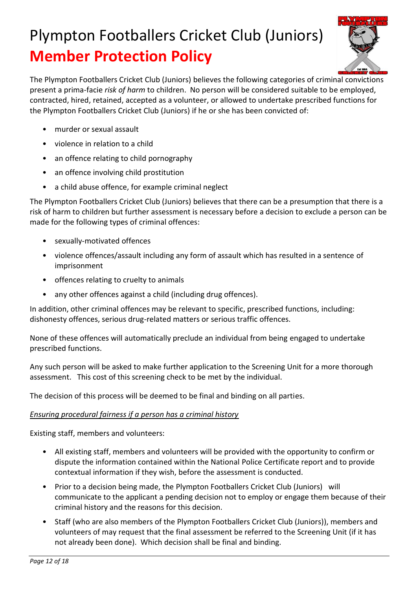

The Plympton Footballers Cricket Club (Juniors) believes the following categories of criminal convictions present a prima-facie *risk of harm* to children. No person will be considered suitable to be employed, contracted, hired, retained, accepted as a volunteer, or allowed to undertake prescribed functions for the Plympton Footballers Cricket Club (Juniors) if he or she has been convicted of:

- murder or sexual assault
- violence in relation to a child
- an offence relating to child pornography
- an offence involving child prostitution
- a child abuse offence, for example criminal neglect

The Plympton Footballers Cricket Club (Juniors) believes that there can be a presumption that there is a risk of harm to children but further assessment is necessary before a decision to exclude a person can be made for the following types of criminal offences:

- sexually-motivated offences
- violence offences/assault including any form of assault which has resulted in a sentence of imprisonment
- offences relating to cruelty to animals
- any other offences against a child (including drug offences).

In addition, other criminal offences may be relevant to specific, prescribed functions, including: dishonesty offences, serious drug-related matters or serious traffic offences.

None of these offences will automatically preclude an individual from being engaged to undertake prescribed functions.

Any such person will be asked to make further application to the Screening Unit for a more thorough assessment. This cost of this screening check to be met by the individual.

The decision of this process will be deemed to be final and binding on all parties.

### *Ensuring procedural fairness if a person has a criminal history*

Existing staff, members and volunteers:

- All existing staff, members and volunteers will be provided with the opportunity to confirm or dispute the information contained within the National Police Certificate report and to provide contextual information if they wish, before the assessment is conducted.
- Prior to a decision being made, the Plympton Footballers Cricket Club (Juniors) will communicate to the applicant a pending decision not to employ or engage them because of their criminal history and the reasons for this decision.
- Staff (who are also members of the Plympton Footballers Cricket Club (Juniors)), members and volunteers of may request that the final assessment be referred to the Screening Unit (if it has not already been done). Which decision shall be final and binding.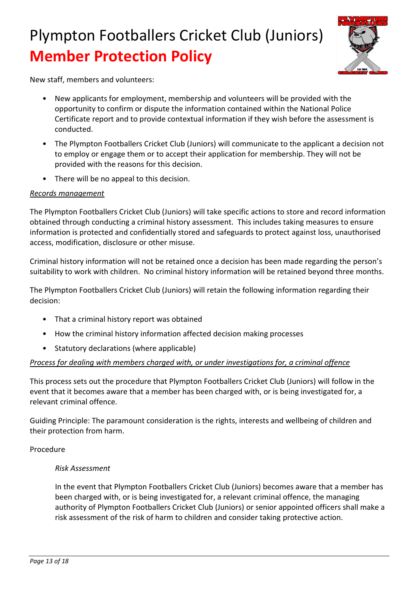

New staff, members and volunteers:

- New applicants for employment, membership and volunteers will be provided with the opportunity to confirm or dispute the information contained within the National Police Certificate report and to provide contextual information if they wish before the assessment is conducted.
- The Plympton Footballers Cricket Club (Juniors) will communicate to the applicant a decision not to employ or engage them or to accept their application for membership. They will not be provided with the reasons for this decision.
- There will be no appeal to this decision.

#### *Records management*

The Plympton Footballers Cricket Club (Juniors) will take specific actions to store and record information obtained through conducting a criminal history assessment. This includes taking measures to ensure information is protected and confidentially stored and safeguards to protect against loss, unauthorised access, modification, disclosure or other misuse.

Criminal history information will not be retained once a decision has been made regarding the person's suitability to work with children. No criminal history information will be retained beyond three months.

The Plympton Footballers Cricket Club (Juniors) will retain the following information regarding their decision:

- That a criminal history report was obtained
- How the criminal history information affected decision making processes
- Statutory declarations (where applicable)

#### *Process for dealing with members charged with, or under investigations for, a criminal offence*

This process sets out the procedure that Plympton Footballers Cricket Club (Juniors) will follow in the event that it becomes aware that a member has been charged with, or is being investigated for, a relevant criminal offence.

Guiding Principle: The paramount consideration is the rights, interests and wellbeing of children and their protection from harm.

#### Procedure

#### *Risk Assessment*

In the event that Plympton Footballers Cricket Club (Juniors) becomes aware that a member has been charged with, or is being investigated for, a relevant criminal offence, the managing authority of Plympton Footballers Cricket Club (Juniors) or senior appointed officers shall make a risk assessment of the risk of harm to children and consider taking protective action.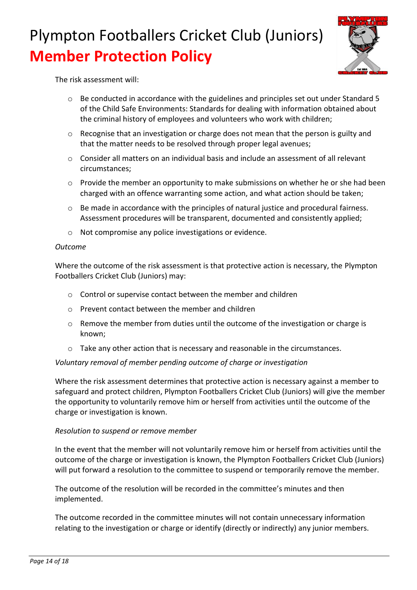

The risk assessment will:

- o Be conducted in accordance with the guidelines and principles set out under Standard 5 of the Child Safe Environments: Standards for dealing with information obtained about the criminal history of employees and volunteers who work with children;
- o Recognise that an investigation or charge does not mean that the person is guilty and that the matter needs to be resolved through proper legal avenues;
- $\circ$  Consider all matters on an individual basis and include an assessment of all relevant circumstances;
- $\circ$  Provide the member an opportunity to make submissions on whether he or she had been charged with an offence warranting some action, and what action should be taken;
- $\circ$  Be made in accordance with the principles of natural justice and procedural fairness. Assessment procedures will be transparent, documented and consistently applied;
- o Not compromise any police investigations or evidence.

#### *Outcome*

Where the outcome of the risk assessment is that protective action is necessary, the Plympton Footballers Cricket Club (Juniors) may:

- o Control or supervise contact between the member and children
- o Prevent contact between the member and children
- o Remove the member from duties until the outcome of the investigation or charge is known;
- o Take any other action that is necessary and reasonable in the circumstances.

#### *Voluntary removal of member pending outcome of charge or investigation*

Where the risk assessment determines that protective action is necessary against a member to safeguard and protect children, Plympton Footballers Cricket Club (Juniors) will give the member the opportunity to voluntarily remove him or herself from activities until the outcome of the charge or investigation is known.

#### *Resolution to suspend or remove member*

In the event that the member will not voluntarily remove him or herself from activities until the outcome of the charge or investigation is known, the Plympton Footballers Cricket Club (Juniors) will put forward a resolution to the committee to suspend or temporarily remove the member.

The outcome of the resolution will be recorded in the committee's minutes and then implemented.

The outcome recorded in the committee minutes will not contain unnecessary information relating to the investigation or charge or identify (directly or indirectly) any junior members.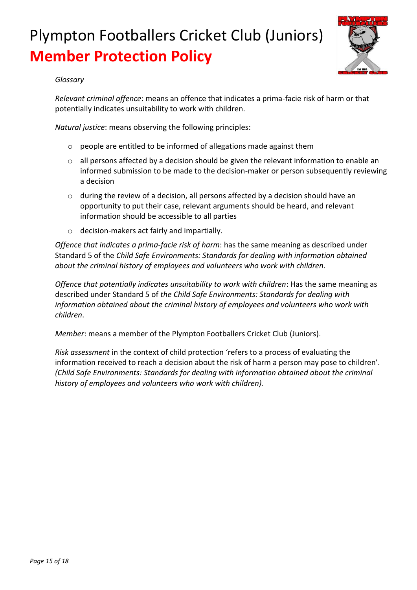

#### *Glossary*

*Relevant criminal offence*: means an offence that indicates a prima-facie risk of harm or that potentially indicates unsuitability to work with children.

*Natural justice*: means observing the following principles:

- o people are entitled to be informed of allegations made against them
- o all persons affected by a decision should be given the relevant information to enable an informed submission to be made to the decision-maker or person subsequently reviewing a decision
- o during the review of a decision, all persons affected by a decision should have an opportunity to put their case, relevant arguments should be heard, and relevant information should be accessible to all parties
- o decision-makers act fairly and impartially.

*Offence that indicates a prima-facie risk of harm*: has the same meaning as described under Standard 5 of the *Child Safe Environments: Standards for dealing with information obtained about the criminal history of employees and volunteers who work with children*.

*Offence that potentially indicates unsuitability to work with children*: Has the same meaning as described under Standard 5 of *the Child Safe Environments: Standards for dealing with information obtained about the criminal history of employees and volunteers who work with children*.

*Member*: means a member of the Plympton Footballers Cricket Club (Juniors).

*Risk assessment* in the context of child protection 'refers to a process of evaluating the information received to reach a decision about the risk of harm a person may pose to children'. *(Child Safe Environments: Standards for dealing with information obtained about the criminal history of employees and volunteers who work with children).*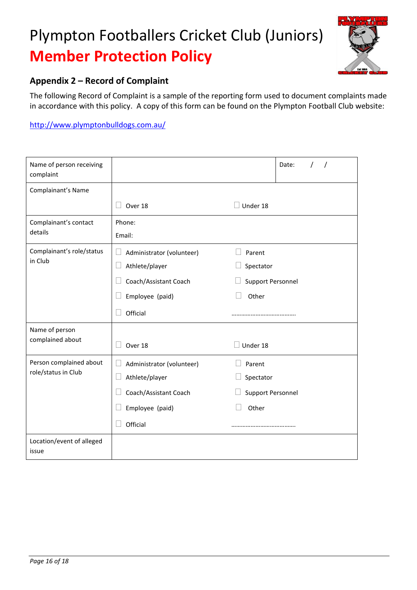

### **Appendix 2 – Record of Complaint**

The following Record of Complaint is a sample of the reporting form used to document complaints made in accordance with this policy. A copy of this form can be found on the Plympton Football Club website:

<http://www.plymptonbulldogs.com.au/>

| Name of person receiving<br>complaint          |                                                                                                     |                                                          | Date: |  |
|------------------------------------------------|-----------------------------------------------------------------------------------------------------|----------------------------------------------------------|-------|--|
| Complainant's Name                             |                                                                                                     |                                                          |       |  |
|                                                | Over 18                                                                                             | Under 18                                                 |       |  |
| Complainant's contact<br>details               | Phone:<br>Email:                                                                                    |                                                          |       |  |
| Complainant's role/status<br>in Club           | Administrator (volunteer)<br>Athlete/player<br>Coach/Assistant Coach<br>Employee (paid)<br>Official | Parent<br>Spectator<br><b>Support Personnel</b><br>Other |       |  |
| Name of person<br>complained about             | Over 18                                                                                             | Under 18                                                 |       |  |
| Person complained about<br>role/status in Club | Administrator (volunteer)<br>Athlete/player<br>Coach/Assistant Coach<br>Employee (paid)<br>Official | Parent<br>Spectator<br><b>Support Personnel</b><br>Other |       |  |
| Location/event of alleged<br>issue             |                                                                                                     |                                                          |       |  |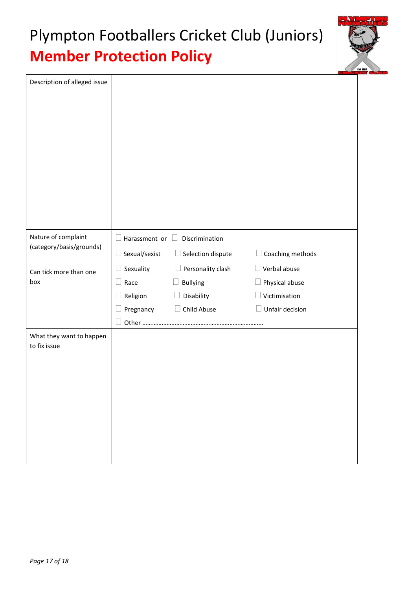

| Description of alleged issue             |                      |                          |                         |
|------------------------------------------|----------------------|--------------------------|-------------------------|
| Nature of complaint                      | Harassment or $\Box$ | Discrimination           |                         |
| (category/basis/grounds)                 | Sexual/sexist        | $\Box$ Selection dispute | Coaching methods<br>- 1 |
| Can tick more than one                   | Sexuality            | Personality clash        | $\Box$ Verbal abuse     |
| box                                      | Race                 | Bullying                 | $\Box$ Physical abuse   |
|                                          | Religion             | Disability               | Victimisation           |
|                                          | Pregnancy            | Child Abuse              | Unfair decision         |
|                                          | Other                |                          |                         |
| What they want to happen<br>to fix issue |                      |                          |                         |